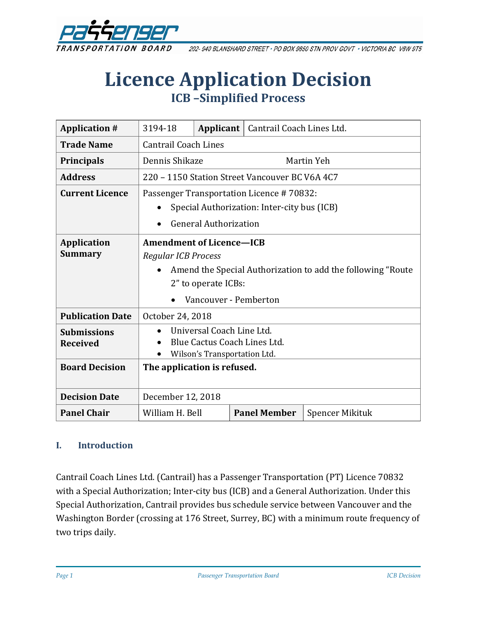

202-940 BLANSHARD STREET · PO BOX 9850 STN PROV GOVT · VICTORIA BC V8W 9T5

# **Licence Application Decision ICB –Simplified Process**

| <b>Application #</b>    | 3194-18                                                      | Applicant $ $ | Cantrail Coach Lines Ltd. |                 |
|-------------------------|--------------------------------------------------------------|---------------|---------------------------|-----------------|
| <b>Trade Name</b>       | <b>Cantrail Coach Lines</b>                                  |               |                           |                 |
| <b>Principals</b>       | Dennis Shikaze                                               |               | Martin Yeh                |                 |
| <b>Address</b>          | 220 – 1150 Station Street Vancouver BC V6A 4C7               |               |                           |                 |
| <b>Current Licence</b>  | Passenger Transportation Licence #70832:                     |               |                           |                 |
|                         | Special Authorization: Inter-city bus (ICB)                  |               |                           |                 |
|                         | <b>General Authorization</b>                                 |               |                           |                 |
| <b>Application</b>      | <b>Amendment of Licence-ICB</b>                              |               |                           |                 |
| <b>Summary</b>          | Regular ICB Process                                          |               |                           |                 |
|                         | Amend the Special Authorization to add the following "Route" |               |                           |                 |
|                         | 2" to operate ICBs:                                          |               |                           |                 |
|                         | Vancouver - Pemberton                                        |               |                           |                 |
| <b>Publication Date</b> | October 24, 2018                                             |               |                           |                 |
| <b>Submissions</b>      | Universal Coach Line Ltd.                                    |               |                           |                 |
| <b>Received</b>         | Blue Cactus Coach Lines Ltd.                                 |               |                           |                 |
|                         | Wilson's Transportation Ltd.                                 |               |                           |                 |
| <b>Board Decision</b>   | The application is refused.                                  |               |                           |                 |
|                         |                                                              |               |                           |                 |
| <b>Decision Date</b>    | December 12, 2018                                            |               |                           |                 |
| <b>Panel Chair</b>      | William H. Bell                                              |               | <b>Panel Member</b>       | Spencer Mikituk |

#### **I. Introduction**

Cantrail Coach Lines Ltd. (Cantrail) has a Passenger Transportation (PT) Licence 70832 with a Special Authorization; Inter-city bus (ICB) and a General Authorization. Under this Special Authorization, Cantrail provides bus schedule service between Vancouver and the Washington Border (crossing at 176 Street, Surrey, BC) with a minimum route frequency of two trips daily.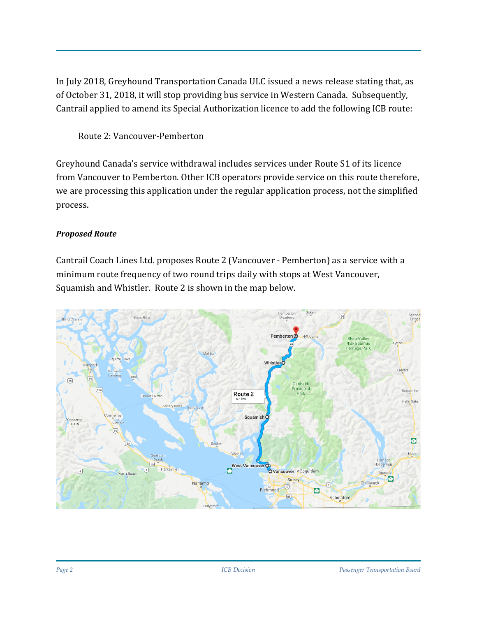In July 2018, Greyhound Transportation Canada ULC issued a news release stating that, as of October 31, 2018, it will stop providing bus service in Western Canada. Subsequently, Cantrail applied to amend its Special Authorization licence to add the following ICB route:

Route 2: Vancouver-Pemberton

Greyhound Canada's service withdrawal includes services under Route S1 of its licence from Vancouver to Pemberton. Other ICB operators provide service on this route therefore, we are processing this application under the regular application process, not the simplified process.

## *Proposed Route*

Cantrail Coach Lines Ltd. proposes Route 2 (Vancouver - Pemberton) as a service with a minimum route frequency of two round trips daily with stops at West Vancouver, Squamish and Whistler. Route 2 is shown in the map below.

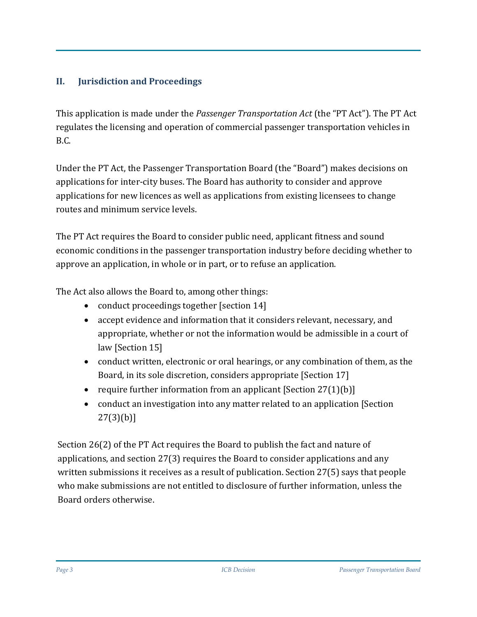## **II. Jurisdiction and Proceedings**

This application is made under the *Passenger Transportation Act* (the "PT Act"). The PT Act regulates the licensing and operation of commercial passenger transportation vehicles in B.C.

Under the PT Act, the Passenger Transportation Board (the "Board") makes decisions on applications for inter-city buses. The Board has authority to consider and approve applications for new licences as well as applications from existing licensees to change routes and minimum service levels.

The PT Act requires the Board to consider public need, applicant fitness and sound economic conditions in the passenger transportation industry before deciding whether to approve an application, in whole or in part, or to refuse an application.

The Act also allows the Board to, among other things:

- conduct proceedings together [section 14]
- accept evidence and information that it considers relevant, necessary, and appropriate, whether or not the information would be admissible in a court of law [Section 15]
- conduct written, electronic or oral hearings, or any combination of them, as the Board, in its sole discretion, considers appropriate [Section 17]
- require further information from an applicant  $[Section 27(1)(b)]$
- conduct an investigation into any matter related to an application [Section] 27(3)(b)]

Section 26(2) of the PT Act requires the Board to publish the fact and nature of applications, and section 27(3) requires the Board to consider applications and any written submissions it receives as a result of publication. Section 27(5) says that people who make submissions are not entitled to disclosure of further information, unless the Board orders otherwise.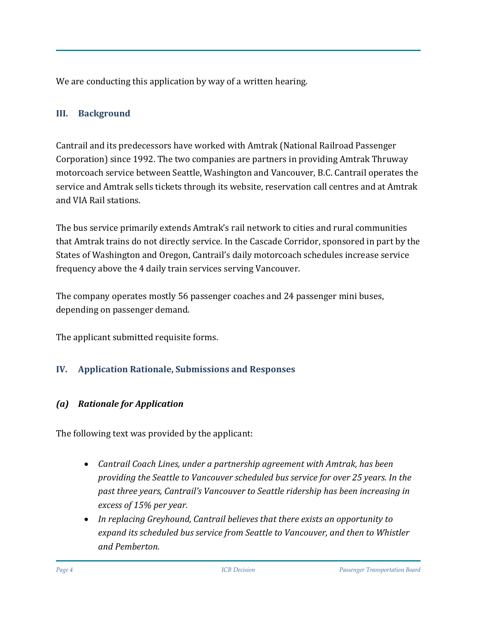We are conducting this application by way of a written hearing.

#### **III. Background**

Cantrail and its predecessors have worked with Amtrak (National Railroad Passenger Corporation) since 1992. The two companies are partners in providing Amtrak Thruway motorcoach service between Seattle, Washington and Vancouver, B.C. Cantrail operates the service and Amtrak sells tickets through its website, reservation call centres and at Amtrak and VIA Rail stations.

The bus service primarily extends Amtrak's rail network to cities and rural communities that Amtrak trains do not directly service. In the Cascade Corridor, sponsored in part by the States of Washington and Oregon, Cantrail's daily motorcoach schedules increase service frequency above the 4 daily train services serving Vancouver.

The company operates mostly 56 passenger coaches and 24 passenger mini buses, depending on passenger demand.

The applicant submitted requisite forms.

## **IV. Application Rationale, Submissions and Responses**

## *(a) Rationale for Application*

The following text was provided by the applicant:

- *Cantrail Coach Lines, under a partnership agreement with Amtrak, has been providing the Seattle to Vancouver scheduled bus service for over 25 years. In the past three years, Cantrail's Vancouver to Seattle ridership has been increasing in excess of 15% per year.*
- *In replacing Greyhound, Cantrail believes that there exists an opportunity to expand its scheduled bus service from Seattle to Vancouver, and then to Whistler and Pemberton.*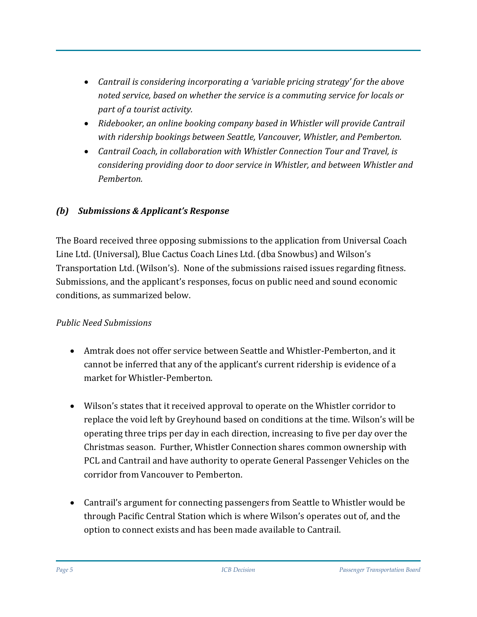- *Cantrail is considering incorporating a 'variable pricing strategy' for the above noted service, based on whether the service is a commuting service for locals or part of a tourist activity.*
- *Ridebooker, an online booking company based in Whistler will provide Cantrail with ridership bookings between Seattle, Vancouver, Whistler, and Pemberton.*
- *Cantrail Coach, in collaboration with Whistler Connection Tour and Travel, is considering providing door to door service in Whistler, and between Whistler and Pemberton.*

#### *(b) Submissions & Applicant's Response*

The Board received three opposing submissions to the application from Universal Coach Line Ltd. (Universal), Blue Cactus Coach Lines Ltd. (dba Snowbus) and Wilson's Transportation Ltd. (Wilson's). None of the submissions raised issues regarding fitness. Submissions, and the applicant's responses, focus on public need and sound economic conditions, as summarized below.

#### *Public Need Submissions*

- Amtrak does not offer service between Seattle and Whistler-Pemberton, and it cannot be inferred that any of the applicant's current ridership is evidence of a market for Whistler-Pemberton.
- Wilson's states that it received approval to operate on the Whistler corridor to replace the void left by Greyhound based on conditions at the time. Wilson's will be operating three trips per day in each direction, increasing to five per day over the Christmas season. Further, Whistler Connection shares common ownership with PCL and Cantrail and have authority to operate General Passenger Vehicles on the corridor from Vancouver to Pemberton.
- Cantrail's argument for connecting passengers from Seattle to Whistler would be through Pacific Central Station which is where Wilson's operates out of, and the option to connect exists and has been made available to Cantrail.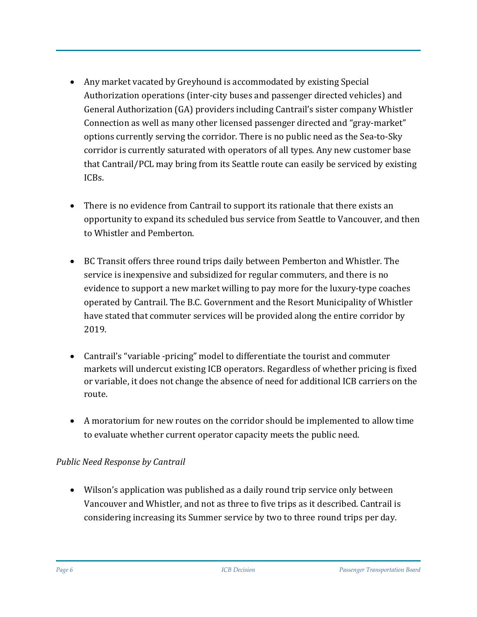- Any market vacated by Greyhound is accommodated by existing Special Authorization operations (inter-city buses and passenger directed vehicles) and General Authorization (GA) providers including Cantrail's sister company Whistler Connection as well as many other licensed passenger directed and "gray-market" options currently serving the corridor. There is no public need as the Sea-to-Sky corridor is currently saturated with operators of all types. Any new customer base that Cantrail/PCL may bring from its Seattle route can easily be serviced by existing ICBs.
- There is no evidence from Cantrail to support its rationale that there exists an opportunity to expand its scheduled bus service from Seattle to Vancouver, and then to Whistler and Pemberton.
- BC Transit offers three round trips daily between Pemberton and Whistler. The service is inexpensive and subsidized for regular commuters, and there is no evidence to support a new market willing to pay more for the luxury-type coaches operated by Cantrail. The B.C. Government and the Resort Municipality of Whistler have stated that commuter services will be provided along the entire corridor by 2019.
- Cantrail's "variable -pricing" model to differentiate the tourist and commuter markets will undercut existing ICB operators. Regardless of whether pricing is fixed or variable, it does not change the absence of need for additional ICB carriers on the route.
- A moratorium for new routes on the corridor should be implemented to allow time to evaluate whether current operator capacity meets the public need.

#### *Public Need Response by Cantrail*

• Wilson's application was published as a daily round trip service only between Vancouver and Whistler, and not as three to five trips as it described. Cantrail is considering increasing its Summer service by two to three round trips per day.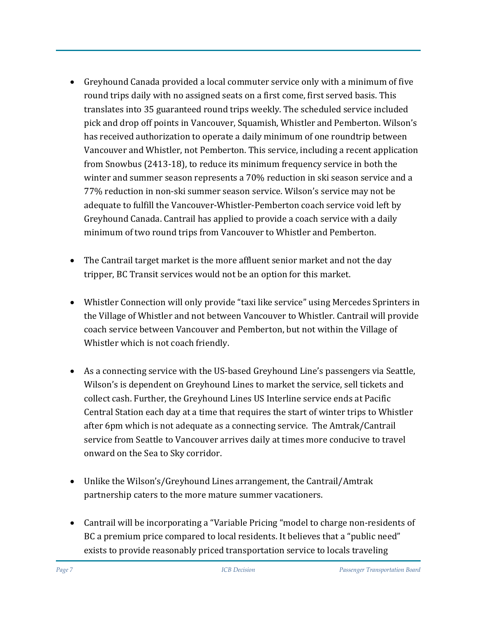- Greyhound Canada provided a local commuter service only with a minimum of five round trips daily with no assigned seats on a first come, first served basis. This translates into 35 guaranteed round trips weekly. The scheduled service included pick and drop off points in Vancouver, Squamish, Whistler and Pemberton. Wilson's has received authorization to operate a daily minimum of one roundtrip between Vancouver and Whistler, not Pemberton. This service, including a recent application from Snowbus (2413-18), to reduce its minimum frequency service in both the winter and summer season represents a 70% reduction in ski season service and a 77% reduction in non-ski summer season service. Wilson's service may not be adequate to fulfill the Vancouver-Whistler-Pemberton coach service void left by Greyhound Canada. Cantrail has applied to provide a coach service with a daily minimum of two round trips from Vancouver to Whistler and Pemberton.
- The Cantrail target market is the more affluent senior market and not the day tripper, BC Transit services would not be an option for this market.
- Whistler Connection will only provide "taxi like service" using Mercedes Sprinters in the Village of Whistler and not between Vancouver to Whistler. Cantrail will provide coach service between Vancouver and Pemberton, but not within the Village of Whistler which is not coach friendly.
- As a connecting service with the US-based Greyhound Line's passengers via Seattle, Wilson's is dependent on Greyhound Lines to market the service, sell tickets and collect cash. Further, the Greyhound Lines US Interline service ends at Pacific Central Station each day at a time that requires the start of winter trips to Whistler after 6pm which is not adequate as a connecting service. The Amtrak/Cantrail service from Seattle to Vancouver arrives daily at times more conducive to travel onward on the Sea to Sky corridor.
- Unlike the Wilson's/Greyhound Lines arrangement, the Cantrail/Amtrak partnership caters to the more mature summer vacationers.
- Cantrail will be incorporating a "Variable Pricing "model to charge non-residents of BC a premium price compared to local residents. It believes that a "public need" exists to provide reasonably priced transportation service to locals traveling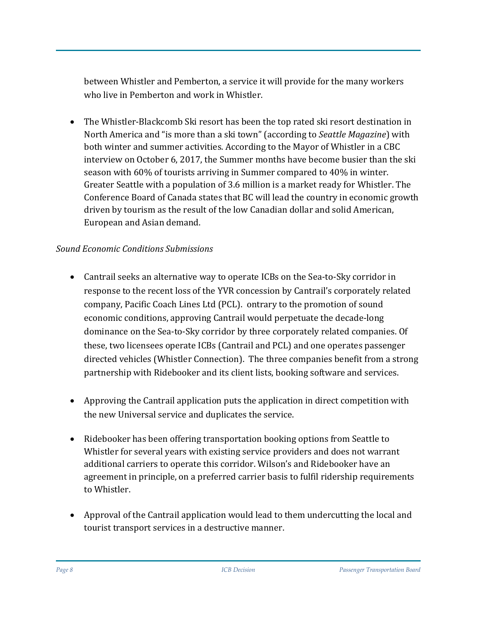between Whistler and Pemberton, a service it will provide for the many workers who live in Pemberton and work in Whistler.

• The Whistler-Blackcomb Ski resort has been the top rated ski resort destination in North America and "is more than a ski town" (according to *Seattle Magazine*) with both winter and summer activities. According to the Mayor of Whistler in a CBC interview on October 6, 2017, the Summer months have become busier than the ski season with 60% of tourists arriving in Summer compared to 40% in winter. Greater Seattle with a population of 3.6 million is a market ready for Whistler. The Conference Board of Canada states that BC will lead the country in economic growth driven by tourism as the result of the low Canadian dollar and solid American, European and Asian demand.

#### *Sound Economic Conditions Submissions*

- Cantrail seeks an alternative way to operate ICBs on the Sea-to-Sky corridor in response to the recent loss of the YVR concession by Cantrail's corporately related company, Pacific Coach Lines Ltd (PCL). ontrary to the promotion of sound economic conditions, approving Cantrail would perpetuate the decade-long dominance on the Sea-to-Sky corridor by three corporately related companies. Of these, two licensees operate ICBs (Cantrail and PCL) and one operates passenger directed vehicles (Whistler Connection). The three companies benefit from a strong partnership with Ridebooker and its client lists, booking software and services.
- Approving the Cantrail application puts the application in direct competition with the new Universal service and duplicates the service.
- Ridebooker has been offering transportation booking options from Seattle to Whistler for several years with existing service providers and does not warrant additional carriers to operate this corridor. Wilson's and Ridebooker have an agreement in principle, on a preferred carrier basis to fulfil ridership requirements to Whistler.
- Approval of the Cantrail application would lead to them undercutting the local and tourist transport services in a destructive manner.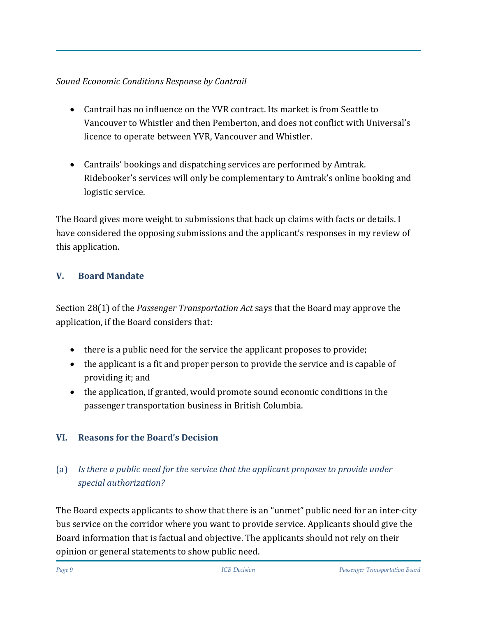## *Sound Economic Conditions Response by Cantrail*

- Cantrail has no influence on the YVR contract. Its market is from Seattle to Vancouver to Whistler and then Pemberton, and does not conflict with Universal's licence to operate between YVR, Vancouver and Whistler.
- Cantrails' bookings and dispatching services are performed by Amtrak. Ridebooker's services will only be complementary to Amtrak's online booking and logistic service.

The Board gives more weight to submissions that back up claims with facts or details. I have considered the opposing submissions and the applicant's responses in my review of this application.

# **V. Board Mandate**

Section 28(1) of the *Passenger Transportation Act* says that the Board may approve the application, if the Board considers that:

- there is a public need for the service the applicant proposes to provide;
- the applicant is a fit and proper person to provide the service and is capable of providing it; and
- the application, if granted, would promote sound economic conditions in the passenger transportation business in British Columbia.

# **VI. Reasons for the Board's Decision**

# (a) *Is there a public need for the service that the applicant proposes to provide under special authorization?*

The Board expects applicants to show that there is an "unmet" public need for an inter-city bus service on the corridor where you want to provide service. Applicants should give the Board information that is factual and objective. The applicants should not rely on their opinion or general statements to show public need.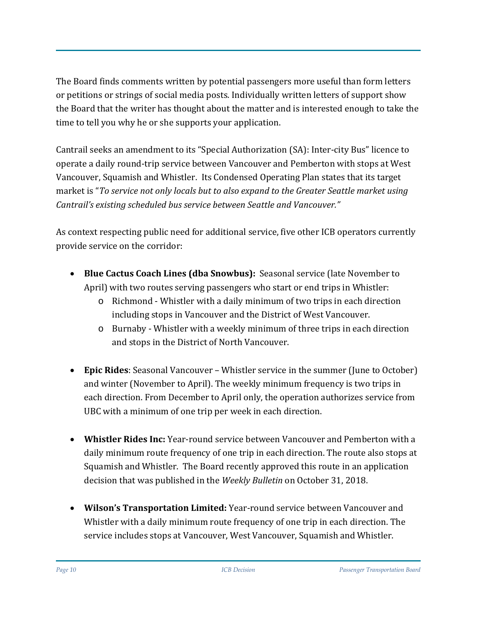The Board finds comments written by potential passengers more useful than form letters or petitions or strings of social media posts. Individually written letters of support show the Board that the writer has thought about the matter and is interested enough to take the time to tell you why he or she supports your application.

Cantrail seeks an amendment to its "Special Authorization (SA): Inter-city Bus" licence to operate a daily round-trip service between Vancouver and Pemberton with stops at West Vancouver, Squamish and Whistler. Its Condensed Operating Plan states that its target market is "*To service not only locals but to also expand to the Greater Seattle market using Cantrail's existing scheduled bus service between Seattle and Vancouver."*

As context respecting public need for additional service, five other ICB operators currently provide service on the corridor:

- **Blue Cactus Coach Lines (dba Snowbus):** Seasonal service (late November to April) with two routes serving passengers who start or end trips in Whistler:
	- o Richmond Whistler with a daily minimum of two trips in each direction including stops in Vancouver and the District of West Vancouver.
	- o Burnaby Whistler with a weekly minimum of three trips in each direction and stops in the District of North Vancouver.
- **Epic Rides**: Seasonal Vancouver Whistler service in the summer (June to October) and winter (November to April). The weekly minimum frequency is two trips in each direction. From December to April only, the operation authorizes service from UBC with a minimum of one trip per week in each direction.
- **Whistler Rides Inc:** Year-round service between Vancouver and Pemberton with a daily minimum route frequency of one trip in each direction. The route also stops at Squamish and Whistler. The Board recently approved this route in an application decision that was published in the *Weekly Bulletin* on October 31, 2018.
- **Wilson's Transportation Limited:** Year-round service between Vancouver and Whistler with a daily minimum route frequency of one trip in each direction. The service includes stops at Vancouver, West Vancouver, Squamish and Whistler.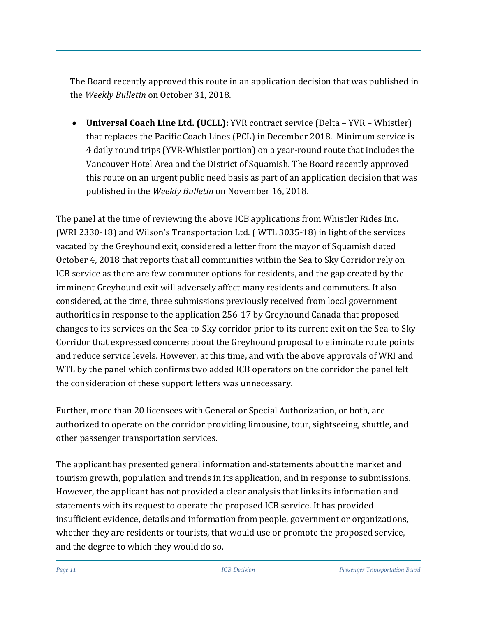The Board recently approved this route in an application decision that was published in the *Weekly Bulletin* on October 31, 2018.

• **Universal Coach Line Ltd. (UCLL):** YVR contract service (Delta – YVR – Whistler) that replaces the Pacific Coach Lines (PCL) in December 2018. Minimum service is 4 daily round trips (YVR-Whistler portion) on a year-round route that includes the Vancouver Hotel Area and the District of Squamish. The Board recently approved this route on an urgent public need basis as part of an application decision that was published in the *Weekly Bulletin* on November 16, 2018.

The panel at the time of reviewing the above ICB applications from Whistler Rides Inc. (WRI 2330-18) and Wilson's Transportation Ltd. ( WTL 3035-18) in light of the services vacated by the Greyhound exit, considered a letter from the mayor of Squamish dated October 4, 2018 that reports that all communities within the Sea to Sky Corridor rely on ICB service as there are few commuter options for residents, and the gap created by the imminent Greyhound exit will adversely affect many residents and commuters. It also considered, at the time, three submissions previously received from local government authorities in response to the application 256-17 by Greyhound Canada that proposed changes to its services on the Sea-to-Sky corridor prior to its current exit on the Sea-to Sky Corridor that expressed concerns about the Greyhound proposal to eliminate route points and reduce service levels. However, at this time, and with the above approvals of WRI and WTL by the panel which confirms two added ICB operators on the corridor the panel felt the consideration of these support letters was unnecessary.

Further, more than 20 licensees with General or Special Authorization, or both, are authorized to operate on the corridor providing limousine, tour, sightseeing, shuttle, and other passenger transportation services.

The applicant has presented general information and statements about the market and tourism growth, population and trends in its application, and in response to submissions. However, the applicant has not provided a clear analysis that links its information and statements with its request to operate the proposed ICB service. It has provided insufficient evidence, details and information from people, government or organizations, whether they are residents or tourists, that would use or promote the proposed service, and the degree to which they would do so.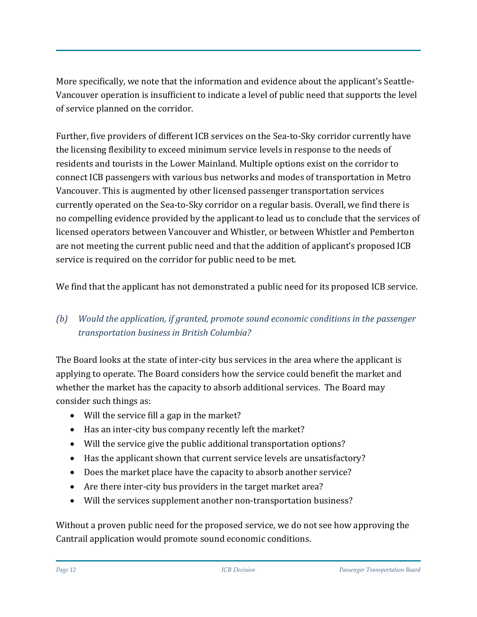More specifically, we note that the information and evidence about the applicant's Seattle-Vancouver operation is insufficient to indicate a level of public need that supports the level of service planned on the corridor.

Further, five providers of different ICB services on the Sea-to-Sky corridor currently have the licensing flexibility to exceed minimum service levels in response to the needs of residents and tourists in the Lower Mainland. Multiple options exist on the corridor to connect ICB passengers with various bus networks and modes of transportation in Metro Vancouver. This is augmented by other licensed passenger transportation services currently operated on the Sea-to-Sky corridor on a regular basis. Overall, we find there is no compelling evidence provided by the applicant to lead us to conclude that the services of licensed operators between Vancouver and Whistler, or between Whistler and Pemberton are not meeting the current public need and that the addition of applicant's proposed ICB service is required on the corridor for public need to be met.

We find that the applicant has not demonstrated a public need for its proposed ICB service.

# *(b) Would the application, if granted, promote sound economic conditions in the passenger transportation business in British Columbia?*

The Board looks at the state of inter-city bus services in the area where the applicant is applying to operate. The Board considers how the service could benefit the market and whether the market has the capacity to absorb additional services. The Board may consider such things as:

- Will the service fill a gap in the market?
- Has an inter-city bus company recently left the market?
- Will the service give the public additional transportation options?
- Has the applicant shown that current service levels are unsatisfactory?
- Does the market place have the capacity to absorb another service?
- Are there inter-city bus providers in the target market area?
- Will the services supplement another non-transportation business?

Without a proven public need for the proposed service, we do not see how approving the Cantrail application would promote sound economic conditions.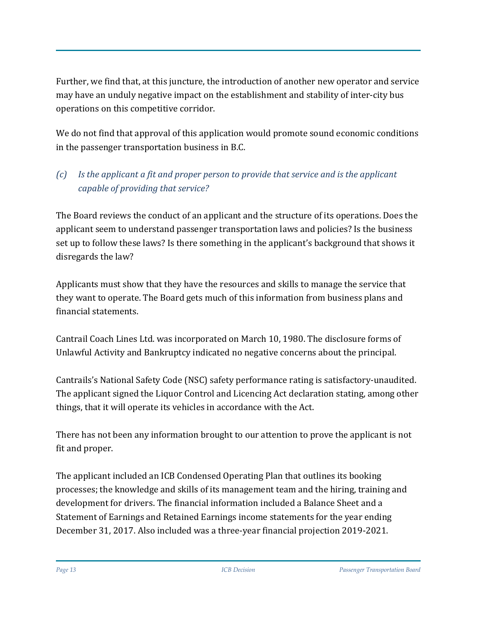Further, we find that, at this juncture, the introduction of another new operator and service may have an unduly negative impact on the establishment and stability of inter-city bus operations on this competitive corridor.

We do not find that approval of this application would promote sound economic conditions in the passenger transportation business in B.C.

# *(c) Is the applicant a fit and proper person to provide that service and is the applicant capable of providing that service?*

The Board reviews the conduct of an applicant and the structure of its operations. Does the applicant seem to understand passenger transportation laws and policies? Is the business set up to follow these laws? Is there something in the applicant's background that shows it disregards the law?

Applicants must show that they have the resources and skills to manage the service that they want to operate. The Board gets much of this information from business plans and financial statements.

Cantrail Coach Lines Ltd. was incorporated on March 10, 1980. The disclosure forms of Unlawful Activity and Bankruptcy indicated no negative concerns about the principal.

Cantrails's National Safety Code (NSC) safety performance rating is satisfactory-unaudited. The applicant signed the Liquor Control and Licencing Act declaration stating, among other things, that it will operate its vehicles in accordance with the Act.

There has not been any information brought to our attention to prove the applicant is not fit and proper.

The applicant included an ICB Condensed Operating Plan that outlines its booking processes; the knowledge and skills of its management team and the hiring, training and development for drivers. The financial information included a Balance Sheet and a Statement of Earnings and Retained Earnings income statements for the year ending December 31, 2017. Also included was a three-year financial projection 2019-2021.